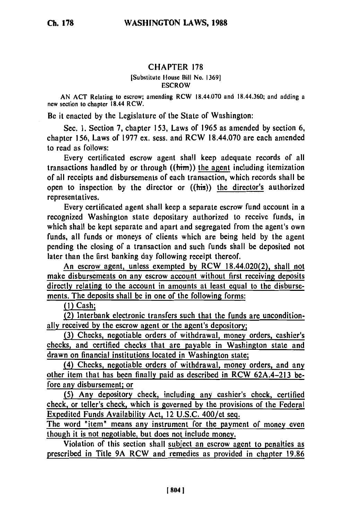## CHAPTER 178

[Substitute House Bill No. **1369] ESCROW** 

AN ACT Relating to escrow; amending RCW 18.44.070 and 18.44.360; and adding a new section to chapter 18.44 RCW.

Be it enacted **by** the Legislature of the State of Washington:

Sec. **1.** Section 7, chapter **153,** Laws of **1965** as amended **by** section 6, chapter **156,** Laws of **1977** ex. sess. and RCW 18.44.070 are each amended to read as follows:

Every certificated escrow agent shall keep adequate records of all transactions handled **by** or through ((hirn)) the agent including itemization of all receipts and disbursements of each transaction, which records shall **be** open to inspection **by** the director or ((his)) the director's authorized representatives.

Every certificated agent shall keep a separate escrow fund account in a recognized Washington state depositary authorized to receive funds, in which shall be kept separate and apart and segregated from the agent's own funds, all funds or moneys of clients which are being held **by** the agent pending the closing of a transaction and such funds shall be deposited not later than the first banking day following receipt thereof.

An escrow agent, unless exempted **by** RCW 18.44.020(2), shall not make disbursements on any escrow account without first receiving deposits directly relating to the account in amounts at least equal to the disbursements. The deposits shall be in one of the following forms:

**(1)** Cash;

**(2) Interbank** electronic transfers such that the funds are unconditionally received **by** the escrow agent or the agent's depository;

**(3)** Checks, negotiable orders of withdrawal, money orders, cashier's checks, and certified checks that are payable in Washington state and drawn on financial institutions located in Washington state;

(4) Checks, negotiable orders of withdrawal, money orders, and any other item that has been finally paid as described in RCW 62A.4-213 **be**fore any disbursement; or

**(5)** Any depository check, including any cashier's check, certified check, or teller's check, which is governed **by** the provisions of the Federal Expedited Funds Availability Act, 12 **U.S.C.** 400/et seq.

The word "item" means any instrument for the **payment** of money even though it is not negotiable, but does not include money.

Violation of this section shall subject an escrow agent to penalties as prescribed in Title **9A** RCW and remedies as provided in chapter **19.86**